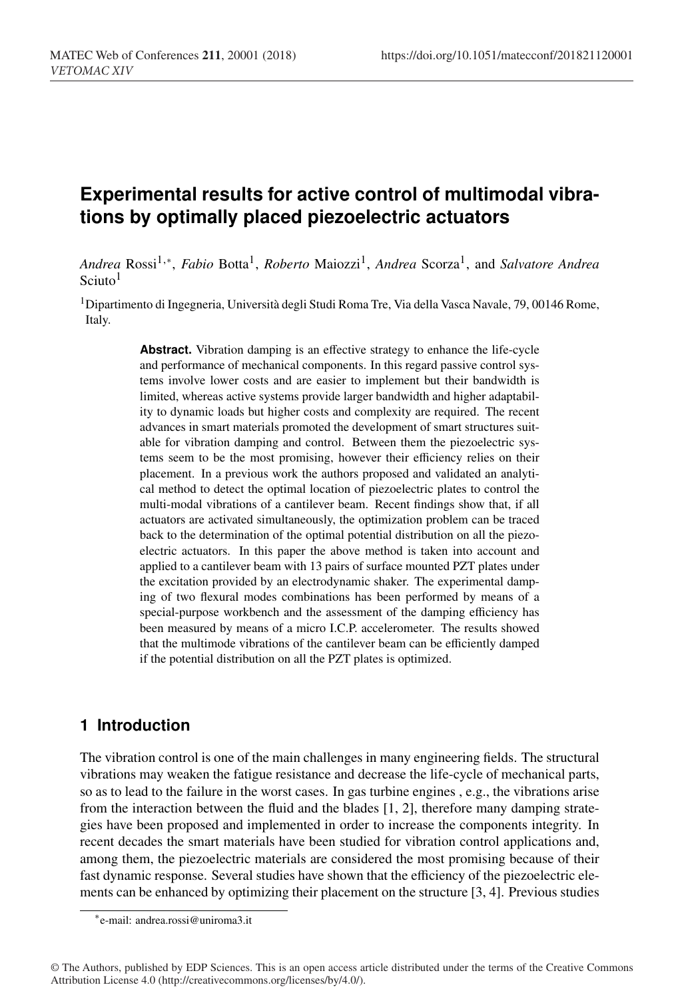# **Experimental results for active control of multimodal vibrations by optimally placed piezoelectric actuators**

*Andrea* Rossi1,∗, *Fabio* Botta1, *Roberto* Maiozzi1, *Andrea* Scorza1, and *Salvatore Andrea* Sciuto<sup>1</sup>

1Dipartimento di Ingegneria, Università degli Studi Roma Tre, Via della Vasca Navale, 79, 00146 Rome, Italy.

> Abstract. Vibration damping is an effective strategy to enhance the life-cycle and performance of mechanical components. In this regard passive control systems involve lower costs and are easier to implement but their bandwidth is limited, whereas active systems provide larger bandwidth and higher adaptability to dynamic loads but higher costs and complexity are required. The recent advances in smart materials promoted the development of smart structures suitable for vibration damping and control. Between them the piezoelectric systems seem to be the most promising, however their efficiency relies on their placement. In a previous work the authors proposed and validated an analytical method to detect the optimal location of piezoelectric plates to control the multi-modal vibrations of a cantilever beam. Recent findings show that, if all actuators are activated simultaneously, the optimization problem can be traced back to the determination of the optimal potential distribution on all the piezoelectric actuators. In this paper the above method is taken into account and applied to a cantilever beam with 13 pairs of surface mounted PZT plates under the excitation provided by an electrodynamic shaker. The experimental damping of two flexural modes combinations has been performed by means of a special-purpose workbench and the assessment of the damping efficiency has been measured by means of a micro I.C.P. accelerometer. The results showed that the multimode vibrations of the cantilever beam can be efficiently damped if the potential distribution on all the PZT plates is optimized.

## **1 Introduction**

The vibration control is one of the main challenges in many engineering fields. The structural vibrations may weaken the fatigue resistance and decrease the life-cycle of mechanical parts, so as to lead to the failure in the worst cases. In gas turbine engines , e.g., the vibrations arise from the interaction between the fluid and the blades [1, 2], therefore many damping strategies have been proposed and implemented in order to increase the components integrity. In recent decades the smart materials have been studied for vibration control applications and, among them, the piezoelectric materials are considered the most promising because of their fast dynamic response. Several studies have shown that the efficiency of the piezoelectric elements can be enhanced by optimizing their placement on the structure [3, 4]. Previous studies

<sup>∗</sup>e-mail: andrea.rossi@uniroma3.it

<sup>©</sup> The Authors, published by EDP Sciences. This is an open access article distributed under the terms of the Creative Commons Attribution License 4.0 (http://creativecommons.org/licenses/by/4.0/).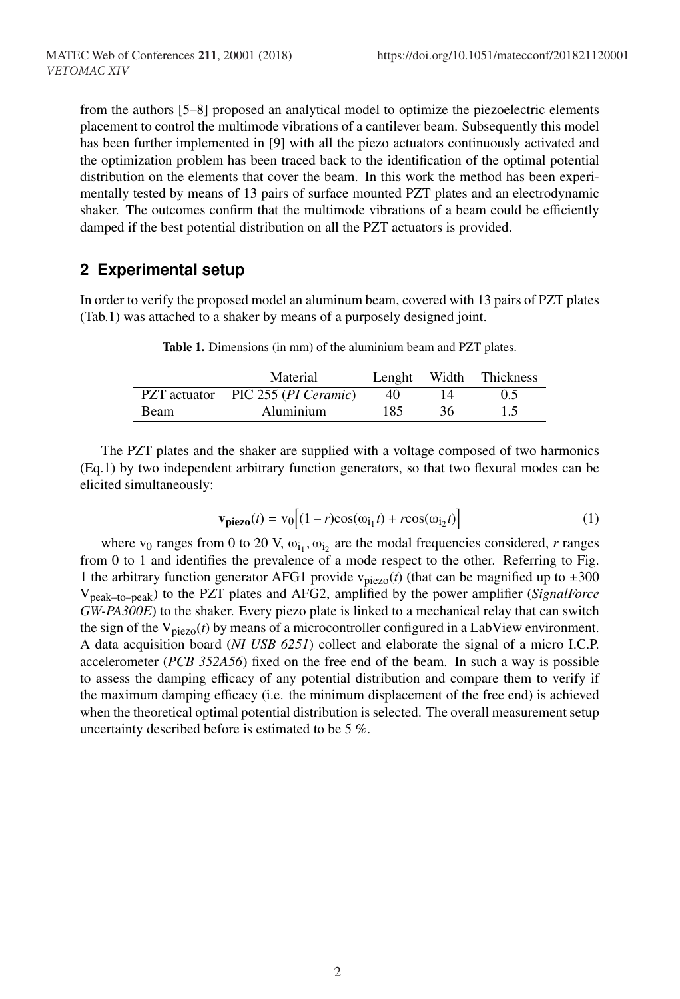from the authors [5–8] proposed an analytical model to optimize the piezoelectric elements placement to control the multimode vibrations of a cantilever beam. Subsequently this model has been further implemented in [9] with all the piezo actuators continuously activated and the optimization problem has been traced back to the identification of the optimal potential distribution on the elements that cover the beam. In this work the method has been experimentally tested by means of 13 pairs of surface mounted PZT plates and an electrodynamic shaker. The outcomes confirm that the multimode vibrations of a beam could be efficiently damped if the best potential distribution on all the PZT actuators is provided.

#### **2 Experimental setup**

In order to verify the proposed model an aluminum beam, covered with 13 pairs of PZT plates (Tab.1) was attached to a shaker by means of a purposely designed joint.

|             | Material                          | Lenght | Width | Thickness |
|-------------|-----------------------------------|--------|-------|-----------|
|             | PZT actuator PIC 255 (PI Ceramic) | 40     |       | 0.5       |
| <b>Beam</b> | Aluminium                         | 185    | 36.   | 15        |

Table 1. Dimensions (in mm) of the aluminium beam and PZT plates.

The PZT plates and the shaker are supplied with a voltage composed of two harmonics (Eq.1) by two independent arbitrary function generators, so that two flexural modes can be elicited simultaneously:

$$
\mathbf{v_{piezo}}(t) = \mathbf{v}_0 \Big[ (1 - r)\cos(\omega_{i_1}t) + r\cos(\omega_{i_2}t) \Big] \tag{1}
$$

where  $v_0$  ranges from 0 to 20 V,  $\omega_{i_1}, \omega_{i_2}$  are the modal frequencies considered, *r* ranges from 0 to 1 and identifies the prevalence of a mode respect to the other. Referring to Fig. 1 the arbitrary function generator AFG1 provide  $v_{piezo}(t)$  (that can be magnified up to  $\pm 300$ Vpeak–to–peak) to the PZT plates and AFG2, amplified by the power amplifier (*SignalForce GW-PA300E*) to the shaker. Every piezo plate is linked to a mechanical relay that can switch the sign of the  $V_{piezo}(t)$  by means of a microcontroller configured in a LabView environment. A data acquisition board (*NI USB 6251*) collect and elaborate the signal of a micro I.C.P. accelerometer (*PCB 352A56*) fixed on the free end of the beam. In such a way is possible to assess the damping efficacy of any potential distribution and compare them to verify if the maximum damping efficacy (i.e. the minimum displacement of the free end) is achieved when the theoretical optimal potential distribution is selected. The overall measurement setup uncertainty described before is estimated to be 5 %.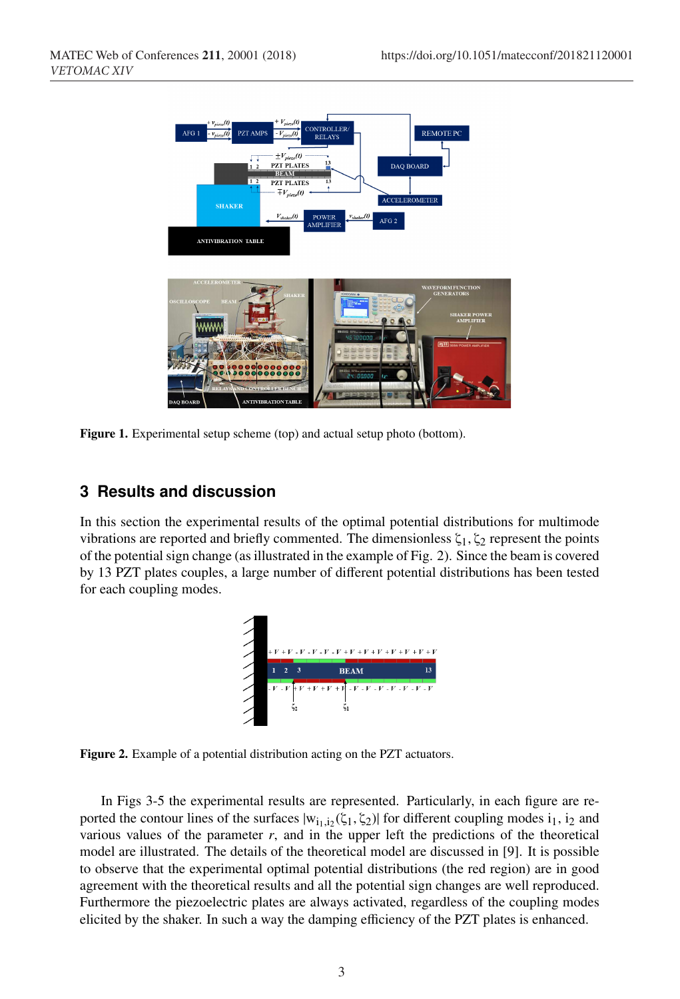

Figure 1. Experimental setup scheme (top) and actual setup photo (bottom).

### **3 Results and discussion**

In this section the experimental results of the optimal potential distributions for multimode vibrations are reported and briefly commented. The dimensionless  $\zeta_1, \zeta_2$  represent the points of the potential sign change (as illustrated in the example of Fig. 2). Since the beam is covered by 13 PZT plates couples, a large number of different potential distributions has been tested for each coupling modes.



Figure 2. Example of a potential distribution acting on the PZT actuators.

In Figs 3-5 the experimental results are represented. Particularly, in each figure are reported the contour lines of the surfaces  $|w_{i_1,i_2}(\zeta_1, \zeta_2)|$  for different coupling modes  $i_1, i_2$  and various values of the parameter *r*, and in the upper left the predictions of the theoretical model are illustrated. The details of the theoretical model are discussed in [9]. It is possible to observe that the experimental optimal potential distributions (the red region) are in good agreement with the theoretical results and all the potential sign changes are well reproduced. Furthermore the piezoelectric plates are always activated, regardless of the coupling modes elicited by the shaker. In such a way the damping efficiency of the PZT plates is enhanced.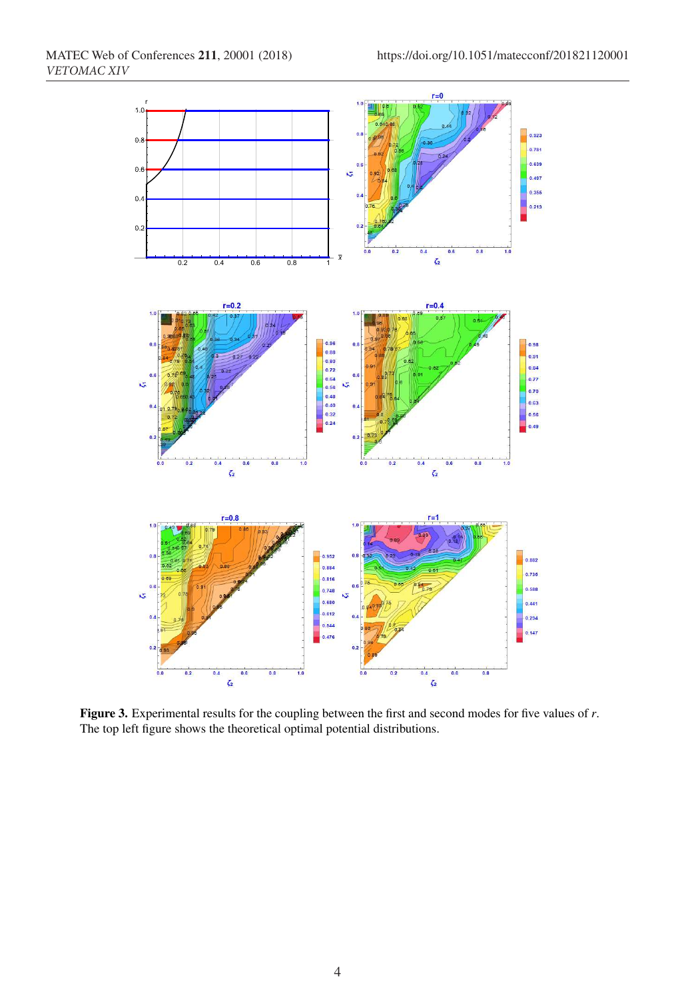

Figure 3. Experimental results for the coupling between the first and second modes for five values of *r*. The top left figure shows the theoretical optimal potential distributions.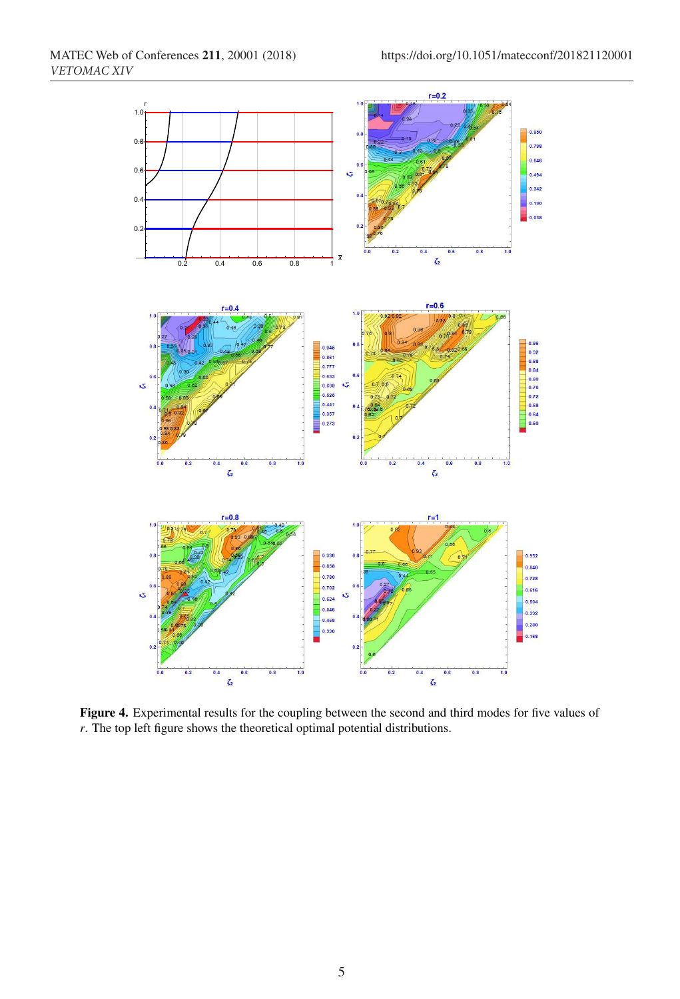

Figure 4. Experimental results for the coupling between the second and third modes for five values of *r*. The top left figure shows the theoretical optimal potential distributions.